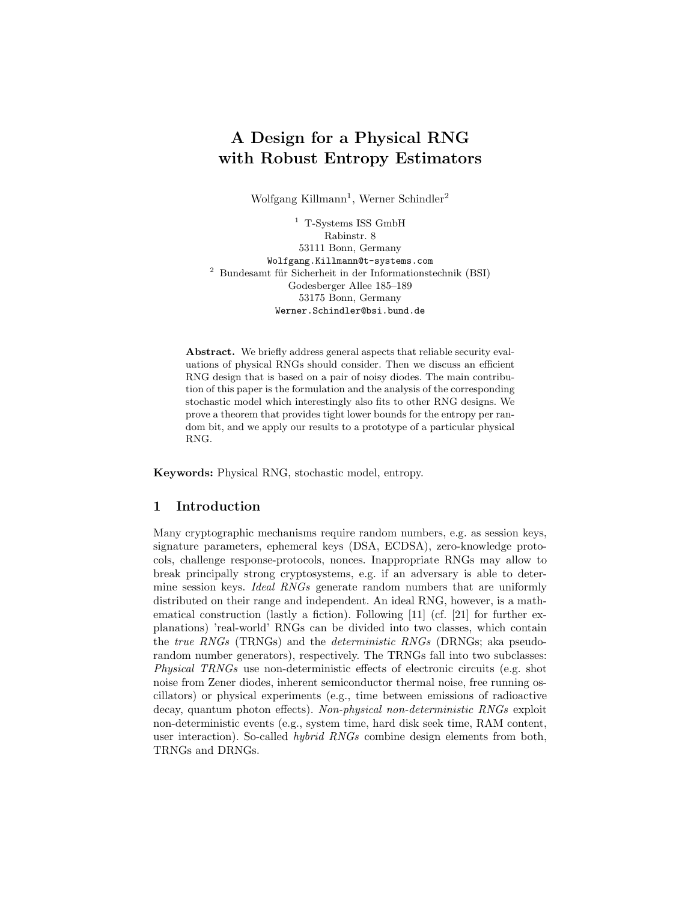# A Design for a Physical RNG with Robust Entropy Estimators

Wolfgang Killmann<sup>1</sup>, Werner Schindler<sup>2</sup>

<sup>1</sup> T-Systems ISS GmbH Rabinstr. 8 53111 Bonn, Germany Wolfgang.Killmann@t-systems.com  $2$  Bundesamt für Sicherheit in der Informationstechnik (BSI) Godesberger Allee 185–189 53175 Bonn, Germany Werner.Schindler@bsi.bund.de

Abstract. We briefly address general aspects that reliable security evaluations of physical RNGs should consider. Then we discuss an efficient RNG design that is based on a pair of noisy diodes. The main contribution of this paper is the formulation and the analysis of the corresponding stochastic model which interestingly also fits to other RNG designs. We prove a theorem that provides tight lower bounds for the entropy per random bit, and we apply our results to a prototype of a particular physical RNG.

Keywords: Physical RNG, stochastic model, entropy.

## 1 Introduction

Many cryptographic mechanisms require random numbers, e.g. as session keys, signature parameters, ephemeral keys (DSA, ECDSA), zero-knowledge protocols, challenge response-protocols, nonces. Inappropriate RNGs may allow to break principally strong cryptosystems, e.g. if an adversary is able to determine session keys. Ideal RNGs generate random numbers that are uniformly distributed on their range and independent. An ideal RNG, however, is a mathematical construction (lastly a fiction). Following [11] (cf. [21] for further explanations) 'real-world' RNGs can be divided into two classes, which contain the true RNGs (TRNGs) and the deterministic RNGs (DRNGs; aka pseudorandom number generators), respectively. The TRNGs fall into two subclasses: Physical TRNGs use non-deterministic effects of electronic circuits (e.g. shot noise from Zener diodes, inherent semiconductor thermal noise, free running oscillators) or physical experiments (e.g., time between emissions of radioactive decay, quantum photon effects). Non-physical non-deterministic RNGs exploit non-deterministic events (e.g., system time, hard disk seek time, RAM content, user interaction). So-called hybrid RNGs combine design elements from both, TRNGs and DRNGs.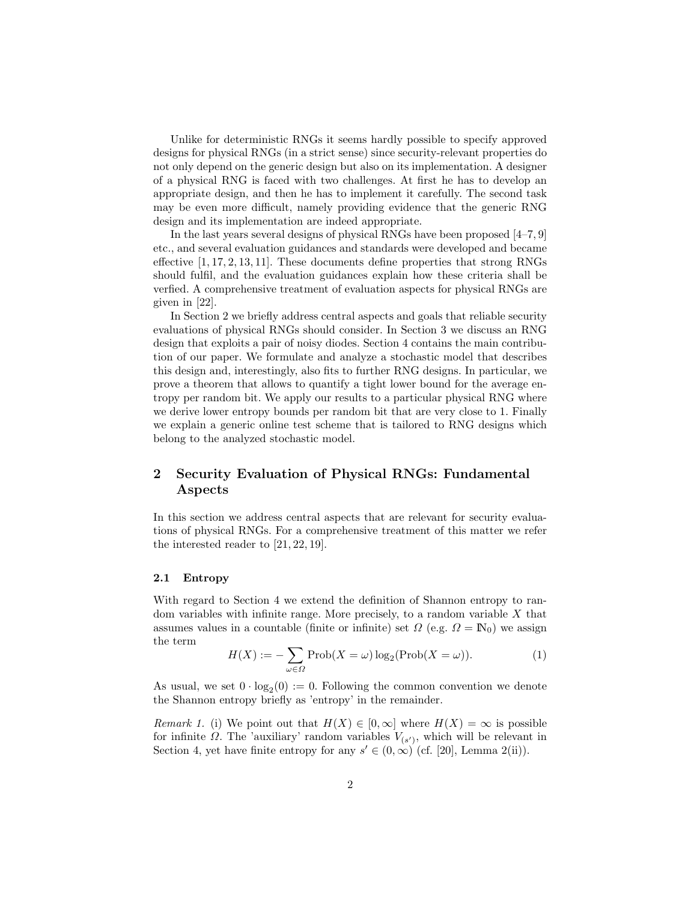Unlike for deterministic RNGs it seems hardly possible to specify approved designs for physical RNGs (in a strict sense) since security-relevant properties do not only depend on the generic design but also on its implementation. A designer of a physical RNG is faced with two challenges. At first he has to develop an appropriate design, and then he has to implement it carefully. The second task may be even more difficult, namely providing evidence that the generic RNG design and its implementation are indeed appropriate.

In the last years several designs of physical RNGs have been proposed [4–7, 9] etc., and several evaluation guidances and standards were developed and became effective [1, 17, 2, 13, 11]. These documents define properties that strong RNGs should fulfil, and the evaluation guidances explain how these criteria shall be verfied. A comprehensive treatment of evaluation aspects for physical RNGs are given in [22].

In Section 2 we briefly address central aspects and goals that reliable security evaluations of physical RNGs should consider. In Section 3 we discuss an RNG design that exploits a pair of noisy diodes. Section 4 contains the main contribution of our paper. We formulate and analyze a stochastic model that describes this design and, interestingly, also fits to further RNG designs. In particular, we prove a theorem that allows to quantify a tight lower bound for the average entropy per random bit. We apply our results to a particular physical RNG where we derive lower entropy bounds per random bit that are very close to 1. Finally we explain a generic online test scheme that is tailored to RNG designs which belong to the analyzed stochastic model.

# 2 Security Evaluation of Physical RNGs: Fundamental Aspects

In this section we address central aspects that are relevant for security evaluations of physical RNGs. For a comprehensive treatment of this matter we refer the interested reader to [21, 22, 19].

#### 2.1 Entropy

With regard to Section 4 we extend the definition of Shannon entropy to random variables with infinite range. More precisely, to a random variable  $X$  that assumes values in a countable (finite or infinite) set  $\Omega$  (e.g.  $\Omega = \mathbb{N}_0$ ) we assign the term

$$
H(X) := -\sum_{\omega \in \Omega} \text{Prob}(X = \omega) \log_2(\text{Prob}(X = \omega)).
$$
 (1)

As usual, we set  $0 \cdot \log_2(0) := 0$ . Following the common convention we denote the Shannon entropy briefly as 'entropy' in the remainder.

*Remark 1.* (i) We point out that  $H(X) \in [0,\infty]$  where  $H(X) = \infty$  is possible for infinite  $\Omega$ . The 'auxiliary' random variables  $V_{(s')}$ , which will be relevant in Section 4, yet have finite entropy for any  $s' \in (0, \infty)$  (cf. [20], Lemma 2(ii)).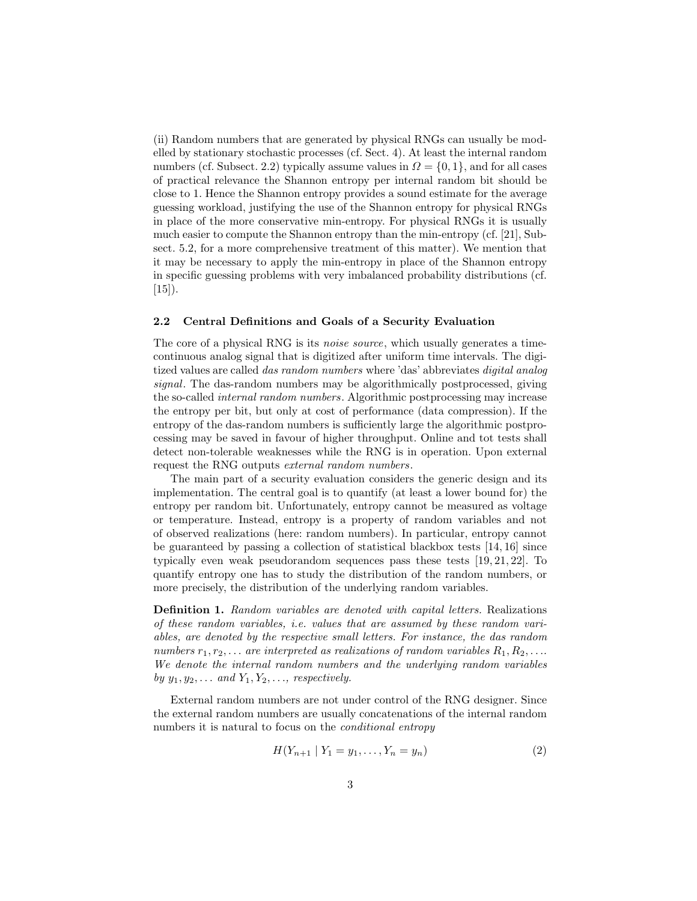(ii) Random numbers that are generated by physical RNGs can usually be modelled by stationary stochastic processes (cf. Sect. 4). At least the internal random numbers (cf. Subsect. 2.2) typically assume values in  $\Omega = \{0, 1\}$ , and for all cases of practical relevance the Shannon entropy per internal random bit should be close to 1. Hence the Shannon entropy provides a sound estimate for the average guessing workload, justifying the use of the Shannon entropy for physical RNGs in place of the more conservative min-entropy. For physical RNGs it is usually much easier to compute the Shannon entropy than the min-entropy (cf. [21], Subsect. 5.2, for a more comprehensive treatment of this matter). We mention that it may be necessary to apply the min-entropy in place of the Shannon entropy in specific guessing problems with very imbalanced probability distributions (cf.  $[15]$ .

#### 2.2 Central Definitions and Goals of a Security Evaluation

The core of a physical RNG is its *noise source*, which usually generates a timecontinuous analog signal that is digitized after uniform time intervals. The digitized values are called das random numbers where 'das' abbreviates digital analog signal. The das-random numbers may be algorithmically postprocessed, giving the so-called internal random numbers. Algorithmic postprocessing may increase the entropy per bit, but only at cost of performance (data compression). If the entropy of the das-random numbers is sufficiently large the algorithmic postprocessing may be saved in favour of higher throughput. Online and tot tests shall detect non-tolerable weaknesses while the RNG is in operation. Upon external request the RNG outputs external random numbers.

The main part of a security evaluation considers the generic design and its implementation. The central goal is to quantify (at least a lower bound for) the entropy per random bit. Unfortunately, entropy cannot be measured as voltage or temperature. Instead, entropy is a property of random variables and not of observed realizations (here: random numbers). In particular, entropy cannot be guaranteed by passing a collection of statistical blackbox tests [14, 16] since typically even weak pseudorandom sequences pass these tests [19, 21, 22]. To quantify entropy one has to study the distribution of the random numbers, or more precisely, the distribution of the underlying random variables.

Definition 1. Random variables are denoted with capital letters. Realizations of these random variables, i.e. values that are assumed by these random variables, are denoted by the respective small letters. For instance, the das random numbers  $r_1, r_2, \ldots$  are interpreted as realizations of random variables  $R_1, R_2, \ldots$ We denote the internal random numbers and the underlying random variables by  $y_1, y_2, \ldots$  and  $Y_1, Y_2, \ldots$ , respectively.

External random numbers are not under control of the RNG designer. Since the external random numbers are usually concatenations of the internal random numbers it is natural to focus on the *conditional entropy* 

$$
H(Y_{n+1} | Y_1 = y_1, \dots, Y_n = y_n)
$$
\n(2)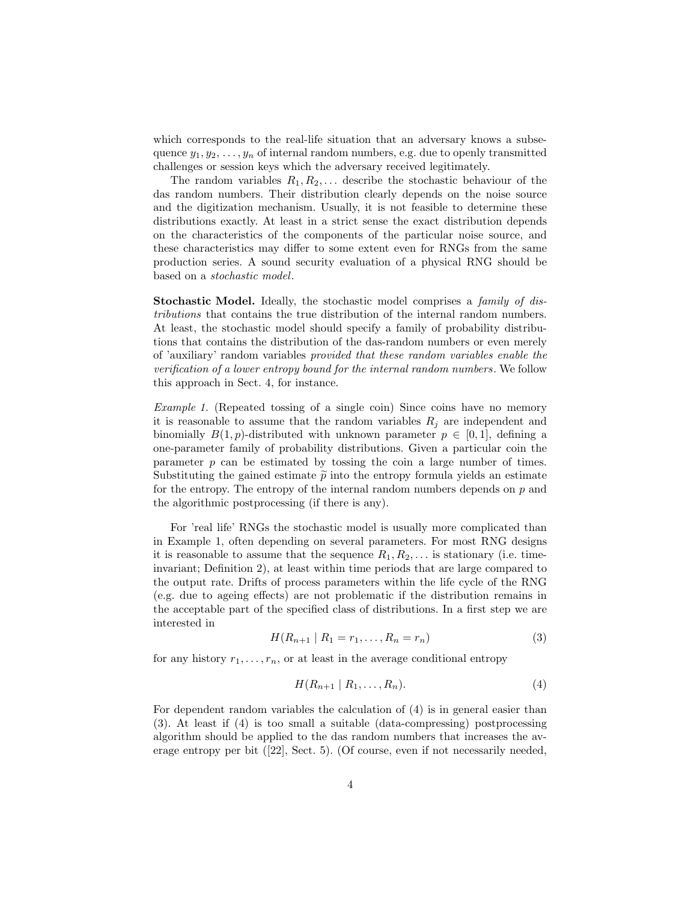which corresponds to the real-life situation that an adversary knows a subsequence  $y_1, y_2, \ldots, y_n$  of internal random numbers, e.g. due to openly transmitted challenges or session keys which the adversary received legitimately.

The random variables  $R_1, R_2, \ldots$  describe the stochastic behaviour of the das random numbers. Their distribution clearly depends on the noise source and the digitization mechanism. Usually, it is not feasible to determine these distributions exactly. At least in a strict sense the exact distribution depends on the characteristics of the components of the particular noise source, and these characteristics may differ to some extent even for RNGs from the same production series. A sound security evaluation of a physical RNG should be based on a stochastic model.

Stochastic Model. Ideally, the stochastic model comprises a family of distributions that contains the true distribution of the internal random numbers. At least, the stochastic model should specify a family of probability distributions that contains the distribution of the das-random numbers or even merely of 'auxiliary' random variables provided that these random variables enable the verification of a lower entropy bound for the internal random numbers. We follow this approach in Sect. 4, for instance.

Example 1. (Repeated tossing of a single coin) Since coins have no memory it is reasonable to assume that the random variables  $R_i$  are independent and binomially  $B(1, p)$ -distributed with unknown parameter  $p \in [0, 1]$ , defining a one-parameter family of probability distributions. Given a particular coin the parameter p can be estimated by tossing the coin a large number of times. Substituting the gained estimate  $\tilde{p}$  into the entropy formula yields an estimate for the entropy. The entropy of the internal random numbers depends on  $p$  and the algorithmic postprocessing (if there is any).

For 'real life' RNGs the stochastic model is usually more complicated than in Example 1, often depending on several parameters. For most RNG designs it is reasonable to assume that the sequence  $R_1, R_2, \ldots$  is stationary (i.e. timeinvariant; Definition 2), at least within time periods that are large compared to the output rate. Drifts of process parameters within the life cycle of the RNG (e.g. due to ageing effects) are not problematic if the distribution remains in the acceptable part of the specified class of distributions. In a first step we are interested in

$$
H(R_{n+1} | R_1 = r_1, \dots, R_n = r_n)
$$
\n(3)

for any history  $r_1, \ldots, r_n$ , or at least in the average conditional entropy

$$
H(R_{n+1} | R_1, \ldots, R_n). \tag{4}
$$

For dependent random variables the calculation of (4) is in general easier than (3). At least if (4) is too small a suitable (data-compressing) postprocessing algorithm should be applied to the das random numbers that increases the average entropy per bit ([22], Sect. 5). (Of course, even if not necessarily needed,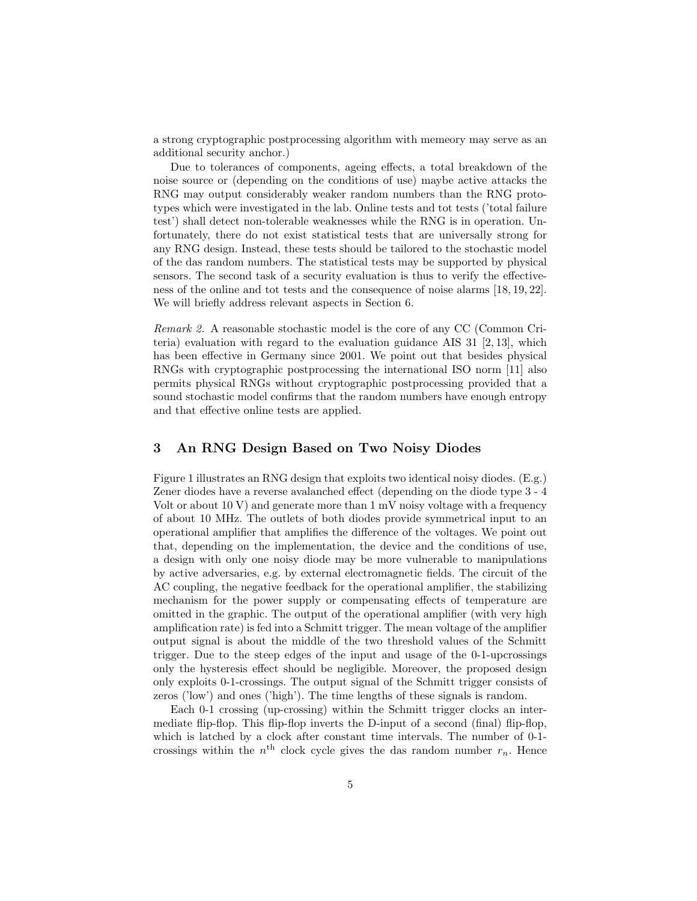a strong cryptographic postprocessing algorithm with memeory may serve as an additional security anchor.)

Due to tolerances of components, ageing effects, a total breakdown of the noise source or (depending on the conditions of use) maybe active attacks the RNG may output considerably weaker random numbers than the RNG prototypes which were investigated in the lab. Online tests and tot tests ('total failure test') shall detect non-tolerable weaknesses while the RNG is in operation. Unfortunately, there do not exist statistical tests that are universally strong for any RNG design. Instead, these tests should be tailored to the stochastic model of the das random numbers. The statistical tests may be supported by physical sensors. The second task of a security evaluation is thus to verify the effectiveness of the online and tot tests and the consequence of noise alarms [18, 19, 22]. We will briefly address relevant aspects in Section 6.

Remark 2. A reasonable stochastic model is the core of any CC (Common Criteria) evaluation with regard to the evaluation guidance AIS 31 [2, 13], which has been effective in Germany since 2001. We point out that besides physical RNGs with cryptographic postprocessing the international ISO norm [11] also permits physical RNGs without cryptographic postprocessing provided that a sound stochastic model confirms that the random numbers have enough entropy and that effective online tests are applied.

## 3 An RNG Design Based on Two Noisy Diodes

Figure 1 illustrates an RNG design that exploits two identical noisy diodes. (E.g.) Zener diodes have a reverse avalanched effect (depending on the diode type 3 - 4 Volt or about 10 V) and generate more than 1 mV noisy voltage with a frequency of about 10 MHz. The outlets of both diodes provide symmetrical input to an operational amplifier that amplifies the difference of the voltages. We point out that, depending on the implementation, the device and the conditions of use, a design with only one noisy diode may be more vulnerable to manipulations by active adversaries, e.g. by external electromagnetic fields. The circuit of the AC coupling, the negative feedback for the operational amplifier, the stabilizing mechanism for the power supply or compensating effects of temperature are omitted in the graphic. The output of the operational amplifier (with very high amplification rate) is fed into a Schmitt trigger. The mean voltage of the amplifier output signal is about the middle of the two threshold values of the Schmitt trigger. Due to the steep edges of the input and usage of the 0-1-upcrossings only the hysteresis effect should be negligible. Moreover, the proposed design only exploits 0-1-crossings. The output signal of the Schmitt trigger consists of zeros ('low') and ones ('high'). The time lengths of these signals is random.

Each 0-1 crossing (up-crossing) within the Schmitt trigger clocks an intermediate flip-flop. This flip-flop inverts the D-input of a second (final) flip-flop, which is latched by a clock after constant time intervals. The number of 0-1 crossings within the  $n<sup>th</sup>$  clock cycle gives the das random number  $r_n$ . Hence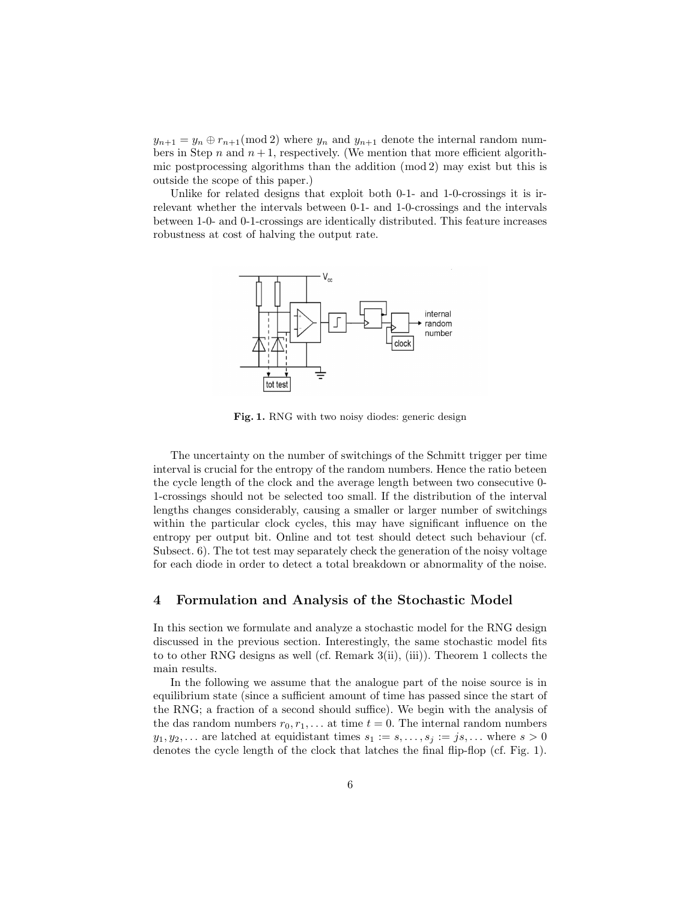$y_{n+1} = y_n \oplus r_{n+1} \pmod{2}$  where  $y_n$  and  $y_{n+1}$  denote the internal random numbers in Step n and  $n+1$ , respectively. (We mention that more efficient algorithmic postprocessing algorithms than the addition (mod 2) may exist but this is outside the scope of this paper.)

Unlike for related designs that exploit both 0-1- and 1-0-crossings it is irrelevant whether the intervals between 0-1- and 1-0-crossings and the intervals between 1-0- and 0-1-crossings are identically distributed. This feature increases robustness at cost of halving the output rate.



Fig. 1. RNG with two noisy diodes: generic design

The uncertainty on the number of switchings of the Schmitt trigger per time interval is crucial for the entropy of the random numbers. Hence the ratio beteen the cycle length of the clock and the average length between two consecutive 0- 1-crossings should not be selected too small. If the distribution of the interval lengths changes considerably, causing a smaller or larger number of switchings within the particular clock cycles, this may have significant influence on the entropy per output bit. Online and tot test should detect such behaviour (cf. Subsect. 6). The tot test may separately check the generation of the noisy voltage for each diode in order to detect a total breakdown or abnormality of the noise.

### 4 Formulation and Analysis of the Stochastic Model

In this section we formulate and analyze a stochastic model for the RNG design discussed in the previous section. Interestingly, the same stochastic model fits to to other RNG designs as well (cf. Remark 3(ii), (iii)). Theorem 1 collects the main results.

In the following we assume that the analogue part of the noise source is in equilibrium state (since a sufficient amount of time has passed since the start of the RNG; a fraction of a second should suffice). We begin with the analysis of the das random numbers  $r_0, r_1, \ldots$  at time  $t = 0$ . The internal random numbers  $y_1, y_2, \ldots$  are latched at equidistant times  $s_1 := s, \ldots, s_j := js, \ldots$  where  $s > 0$ denotes the cycle length of the clock that latches the final flip-flop (cf. Fig. 1).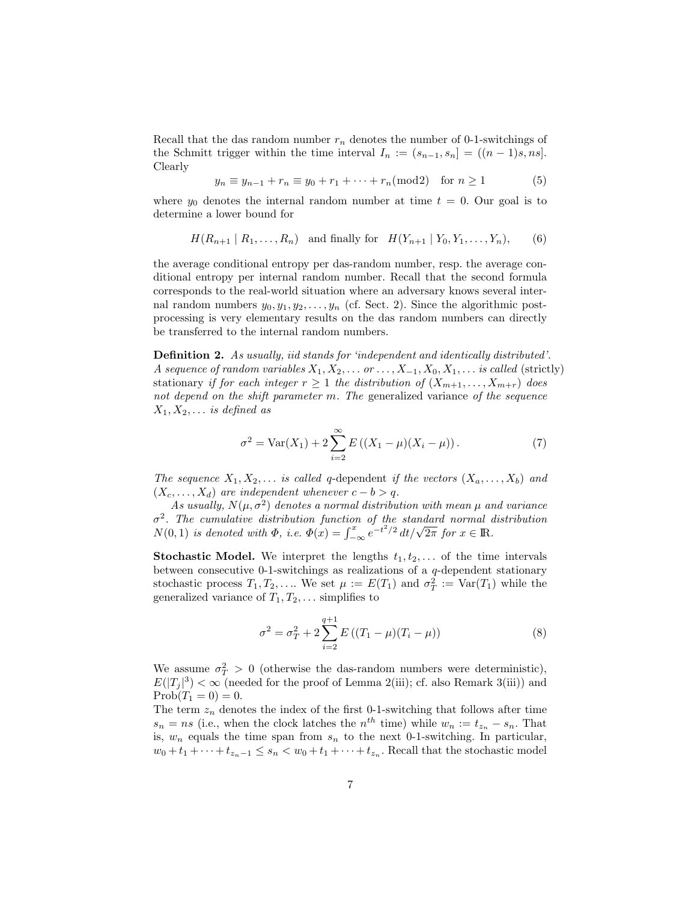Recall that the das random number  $r_n$  denotes the number of 0-1-switchings of the Schmitt trigger within the time interval  $I_n := (s_{n-1}, s_n] = ((n-1)s, ns]$ . Clearly

$$
y_n \equiv y_{n-1} + r_n \equiv y_0 + r_1 + \dots + r_n \pmod{2} \quad \text{for } n \ge 1 \tag{5}
$$

where  $y_0$  denotes the internal random number at time  $t = 0$ . Our goal is to determine a lower bound for

$$
H(R_{n+1} | R_1, \ldots, R_n) \quad \text{and finally for} \quad H(Y_{n+1} | Y_0, Y_1, \ldots, Y_n), \tag{6}
$$

the average conditional entropy per das-random number, resp. the average conditional entropy per internal random number. Recall that the second formula corresponds to the real-world situation where an adversary knows several internal random numbers  $y_0, y_1, y_2, \ldots, y_n$  (cf. Sect. 2). Since the algorithmic postprocessing is very elementary results on the das random numbers can directly be transferred to the internal random numbers.

Definition 2. As usually, iid stands for 'independent and identically distributed'. A sequence of random variables  $X_1, X_2, \ldots$  or  $\ldots, X_{-1}, X_0, X_1, \ldots$  is called (strictly) stationary if for each integer  $r \geq 1$  the distribution of  $(X_{m+1},...,X_{m+r})$  does not depend on the shift parameter m. The generalized variance of the sequence  $X_1, X_2, \ldots$  is defined as

$$
\sigma^{2} = \text{Var}(X_{1}) + 2 \sum_{i=2}^{\infty} E ((X_{1} - \mu)(X_{i} - \mu)).
$$
\n(7)

The sequence  $X_1, X_2, \ldots$  is called q-dependent if the vectors  $(X_a, \ldots, X_b)$  and  $(X_c, \ldots, X_d)$  are independent whenever  $c - b > q$ .

As usually,  $N(\mu, \sigma^2)$  denotes a normal distribution with mean  $\mu$  and variance  $\sigma^2$ . The cumulative distribution function of the standard normal distribution  $N(0, 1)$  is denoted with  $Φ$ , i.e.  $Φ(x) = \int_{-\infty}^{x} e^{-t^2/2} dt/\sqrt{2\pi}$  for  $x \in \mathbb{R}$ .

**Stochastic Model.** We interpret the lengths  $t_1, t_2, \ldots$  of the time intervals between consecutive 0-1-switchings as realizations of a  $q$ -dependent stationary stochastic process  $T_1, T_2, \ldots$  We set  $\mu := E(T_1)$  and  $\sigma_T^2 := \text{Var}(T_1)$  while the generalized variance of  $T_1, T_2, \ldots$  simplifies to

$$
\sigma^2 = \sigma_T^2 + 2\sum_{i=2}^{q+1} E((T_1 - \mu)(T_i - \mu))
$$
\n(8)

We assume  $\sigma_T^2 > 0$  (otherwise the das-random numbers were deterministic),  $E(|T_j|^3) < \infty$  (needed for the proof of Lemma 2(iii); cf. also Remark 3(iii)) and  $Prob(T_1 = 0) = 0.$ 

The term  $z_n$  denotes the index of the first 0-1-switching that follows after time  $s_n = ns$  (i.e., when the clock latches the  $n^{th}$  time) while  $w_n := t_{z_n} - s_n$ . That is,  $w_n$  equals the time span from  $s_n$  to the next 0-1-switching. In particular,  $w_0 + t_1 + \cdots + t_{z_n-1} \leq s_n < w_0 + t_1 + \cdots + t_{z_n}$ . Recall that the stochastic model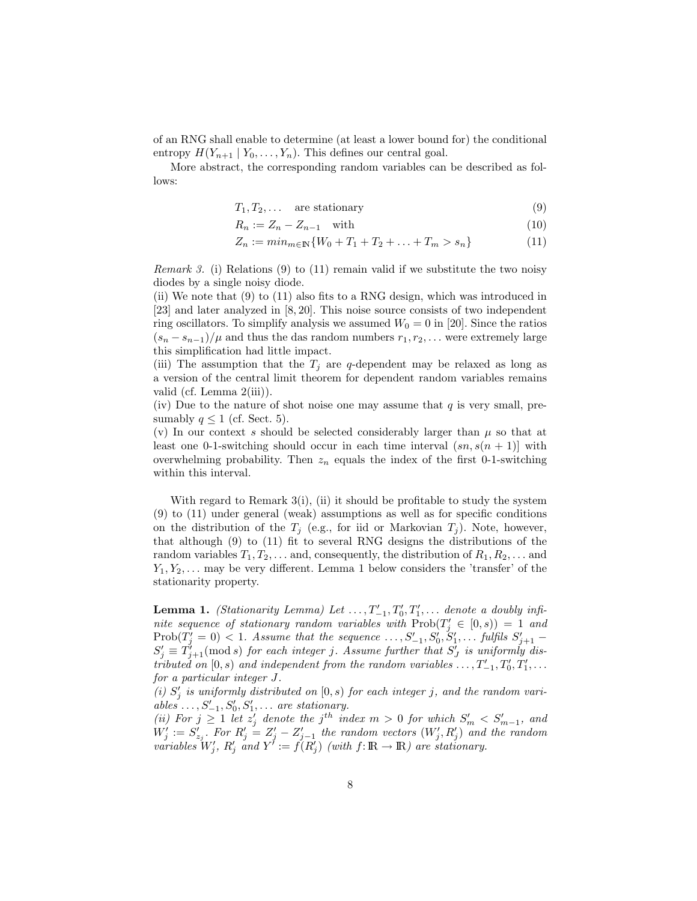of an RNG shall enable to determine (at least a lower bound for) the conditional entropy  $H(Y_{n+1} | Y_0, \ldots, Y_n)$ . This defines our central goal.

More abstract, the corresponding random variables can be described as follows:

$$
T_1, T_2, \dots \quad \text{are stationary} \tag{9}
$$

$$
R_n := Z_n - Z_{n-1} \quad \text{with} \tag{10}
$$

$$
Z_n := \min_{m \in \mathbb{N}} \{ W_0 + T_1 + T_2 + \dots + T_m > s_n \}
$$
 (11)

*Remark 3.* (i) Relations (9) to (11) remain valid if we substitute the two noisy diodes by a single noisy diode.

(ii) We note that (9) to (11) also fits to a RNG design, which was introduced in [23] and later analyzed in [8, 20]. This noise source consists of two independent ring oscillators. To simplify analysis we assumed  $W_0 = 0$  in [20]. Since the ratios  $(s_n - s_{n-1})/\mu$  and thus the das random numbers  $r_1, r_2, \ldots$  were extremely large this simplification had little impact.

(iii) The assumption that the  $T_i$  are q-dependent may be relaxed as long as a version of the central limit theorem for dependent random variables remains valid (cf. Lemma 2(iii)).

(iv) Due to the nature of shot noise one may assume that  $q$  is very small, presumably  $q \leq 1$  (cf. Sect. 5).

(v) In our context s should be selected considerably larger than  $\mu$  so that at least one 0-1-switching should occur in each time interval  $(sn, s(n + 1)]$  with overwhelming probability. Then  $z_n$  equals the index of the first 0-1-switching within this interval.

With regard to Remark 3(i), (ii) it should be profitable to study the system (9) to (11) under general (weak) assumptions as well as for specific conditions on the distribution of the  $T_j$  (e.g., for iid or Markovian  $T_j$ ). Note, however, that although (9) to (11) fit to several RNG designs the distributions of the random variables  $T_1, T_2, \ldots$  and, consequently, the distribution of  $R_1, R_2, \ldots$  and  $Y_1, Y_2, \ldots$  may be very different. Lemma 1 below considers the 'transfer' of the stationarity property.

**Lemma 1.** (Stationarity Lemma) Let  $\dots, T'_{-1}, T'_0, T'_1, \dots$  denote a doubly infinite sequence of stationary random variables with  $\text{Prob}(T'_j \in [0,s)) = 1$  and  $\text{Prob}(T_j' = 0) < 1.$  Assume that the sequence  $\ldots, S'_{-1}, S'_0, S'_1, \ldots$  fulfils  $S'_{j+1}$  $S'_j \equiv T'_{j+1}(\text{mod } s)$  for each integer j. Assume further that  $S'_J$  is uniformly distributed on  $[0, s)$  and independent from the random variables  $\dots, T'_{-1}, T'_0, T'_1, \dots$ for a particular integer J.

(i)  $S'_{j}$  is uniformly distributed on  $[0, s)$  for each integer j, and the random vari $ables \ldots, S'_{-1}, S'_0, S'_1, \ldots$  are stationary.

(ii) For  $j \geq 1$  let  $z_j'$  denote the  $j<sup>th</sup>$  index  $m > 0$  for which  $S'_m < S'_{m-1}$ , and  $W'_j := S'_{z_j}$ . For  $R'_j = Z'_j - Z'_{j-1}$  the random vectors  $(W'_j, R'_j)$  and the random variables  $W'_j$ ,  $R'_j$  and  $Y' := f(R'_j)$  (with  $f: \mathbb{R} \to \mathbb{R}$ ) are stationary.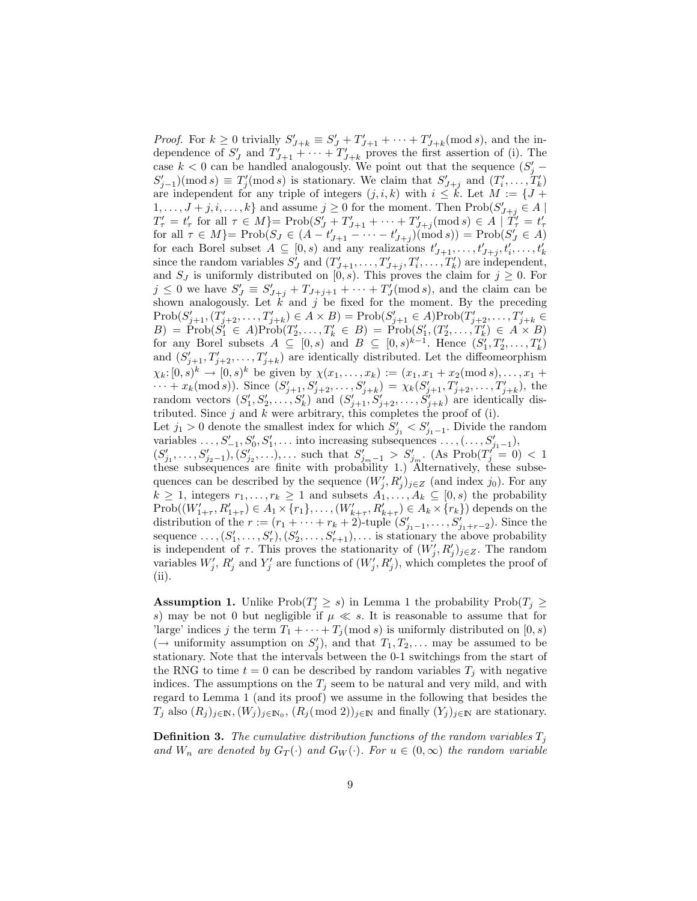*Proof.* For  $k \geq 0$  trivially  $S'_{J+k} \equiv S'_J + T'_{J+1} + \cdots + T'_{J+k} \pmod{s}$ , and the independence of  $S'_{J}$  and  $T'_{J+1} + \cdots + T'_{J+k}$  proves the first assertion of (i). The case  $k < 0$  can be handled analogously. We point out that the sequence  $(S_j S'_{j-1}$  (mod s)  $\equiv T'_{j}(\text{mod } s)$  is stationary. We claim that  $S'_{J+j}$  and  $(T'_{i},...,T'_{k})$ are independent for any triple of integers  $(j, i, k)$  with  $i \leq k$ . Let  $M := \{J +$  $1, \ldots, J + j, i, \ldots, k$  and assume  $j \geq 0$  for the moment. Then  $\text{Prob}(S'_{J+j} \in A \mid$  $T'_{\tau} = t'_{\tau}$  for all  $\tau \in M$ } = Prob $(S'_J + T'_{J+1} + \cdots + T'_{J+j}(\text{mod } s) \in A \mid T'_{\tau} = t'_{\tau}$ <br>for all  $\tau \in M$ } = Prob $(S_J \in (A - t'_{J+1} - \cdots - t'_{J+j})(\text{mod } s))$  = Prob $(S'_J \in A)$ for each Borel subset  $A \subseteq [0, s)$  and any realizations  $t'_{J+1}, \ldots, t'_{J+j}, t'_i, \ldots, t'_k$ since the random variables  $S'_{J}$  and  $(T'_{J+1}, \ldots, T'_{J+j}, T'_{i}, \ldots, T'_{k})$  are independent, and  $S_j$  is uniformly distributed on  $[0, s)$ . This proves the claim for  $j \geq 0$ . For  $j \leq 0$  we have  $S'_J \equiv S'_{J+j} + T_{J+j+1} + \cdots + T'_J \pmod{s}$ , and the claim can be shown analogously. Let  $k$  and  $j$  be fixed for the moment. By the preceding  $Prob(S'_{j+1}, (T'_{j+2}, \ldots, T'_{j+k}) \in A \times B) = Prob(S'_{j+1} \in A) Prob(T'_{j+2}, \ldots, T'_{j+k} \in A)$  $B) = \text{Prob}(S_1' \in A) \text{Prob}(T_2', \ldots, T_k' \in B) = \text{Prob}(S_1', (T_2', \ldots, T_k') \in A \times B)$ for any Borel subsets  $A \subseteq [0, s)$  and  $B \subseteq [0, s)^{k-1}$ . Hence  $(S'_1, T'_2, \ldots, T'_k)$ and  $(S'_{j+1}, T'_{j+2}, \ldots, T'_{j+k})$  are identically distributed. Let the diffeomeorphism  $\chi_k: [0, s)^k \to [0, s)^k$  be given by  $\chi(x_1, \ldots, x_k) := (x_1, x_1 + x_2 \pmod{s}, \ldots, x_1 + x_k \pmod{s})$  $\cdots + x_k \pmod{s}$ . Since  $(S'_{j+1}, S'_{j+2}, \ldots, S'_{j+k}) = \chi_k(S'_{j+1}, T'_{j+2}, \ldots, T'_{j+k})$ , the random vectors  $(S'_1, S'_2, \ldots, S'_k)$  and  $(S'_{j+1}, S'_{j+2}, \ldots, S'_{j+k})$  are identically distributed. Since  $j$  and  $k$  were arbitrary, this completes the proof of (i). Let  $j_1 > 0$  denote the smallest index for which  $S'_{j_1} < S'_{j_1-1}$ . Divide the random variables  $\ldots, S'_{-1}, S'_0, S'_1, \ldots$  into increasing subsequences  $\ldots, (\ldots, S'_{j_1-1}),$  $(S'_{j_1},...,S'_{j_2-1}), (S'_{j_2},...)$ , ..., such that  $S'_{j_m-1} > S'_{j_m}$ . (As Prob $(T''_j = 0) < 1$ these subsequences are finite with probability 1.) Alternatively, these subsequences can be described by the sequence  $(W'_j, R'_j)_{j\in Z}$  (and index j<sub>0</sub>). For any  $k \geq 1$ , integers  $r_1, \ldots, r_k \geq 1$  and subsets  $A_1, \ldots, A_k \subseteq [0, s)$  the probability Prob( $(W'_{1+\tau}, R'_{1+\tau}) \in A_1 \times \{r_1\}, \ldots, (W'_{k+\tau}, R'_{k+\tau}) \in A_k \times \{r_k\}$ ) depends on the distribution of the  $r := (r_1 + \cdots + r_k + 2)$ -tuple  $(S'_{j_1-1}, \ldots, S'_{j_1+r-2})$ . Since the sequence  $\dots, (S'_1, \dots, S'_r), (S'_2, \dots, S'_{r+1}), \dots$  is stationary the above probability is independent of  $\tau$ . This proves the stationarity of  $(W'_j, R'_j)_{j\in Z}$ . The random variables  $W'_j$ ,  $R'_j$  and  $Y'_j$  are functions of  $(W'_j, R'_j)$ , which completes the proof of (ii).

**Assumption 1.** Unlike  $\text{Prob}(T'_j \geq s)$  in Lemma 1 the probability  $\text{Prob}(T_j \geq s)$ s) may be not 0 but negligible if  $\mu \ll s$ . It is reasonable to assume that for 'large' indices j the term  $T_1 + \cdots + T_j \pmod{s}$  is uniformly distributed on  $[0, s)$  $(\rightarrow$  uniformity assumption on  $S'_{j}$ ), and that  $T_{1}, T_{2}, \ldots$  may be assumed to be stationary. Note that the intervals between the 0-1 switchings from the start of the RNG to time  $t = 0$  can be described by random variables  $T_i$  with negative indices. The assumptions on the  $T_j$  seem to be natural and very mild, and with regard to Lemma 1 (and its proof) we assume in the following that besides the  $T_j$  also  $(R_j)_{j \in \mathbb{N}}$ ,  $(W_j)_{j \in \mathbb{N}}$  of  $(R_j \text{ (mod 2)})_{j \in \mathbb{N}}$  and finally  $(Y_j)_{j \in \mathbb{N}}$  are stationary.

**Definition 3.** The cumulative distribution functions of the random variables  $T_i$ and  $W_n$  are denoted by  $G_T(\cdot)$  and  $G_W(\cdot)$ . For  $u \in (0,\infty)$  the random variable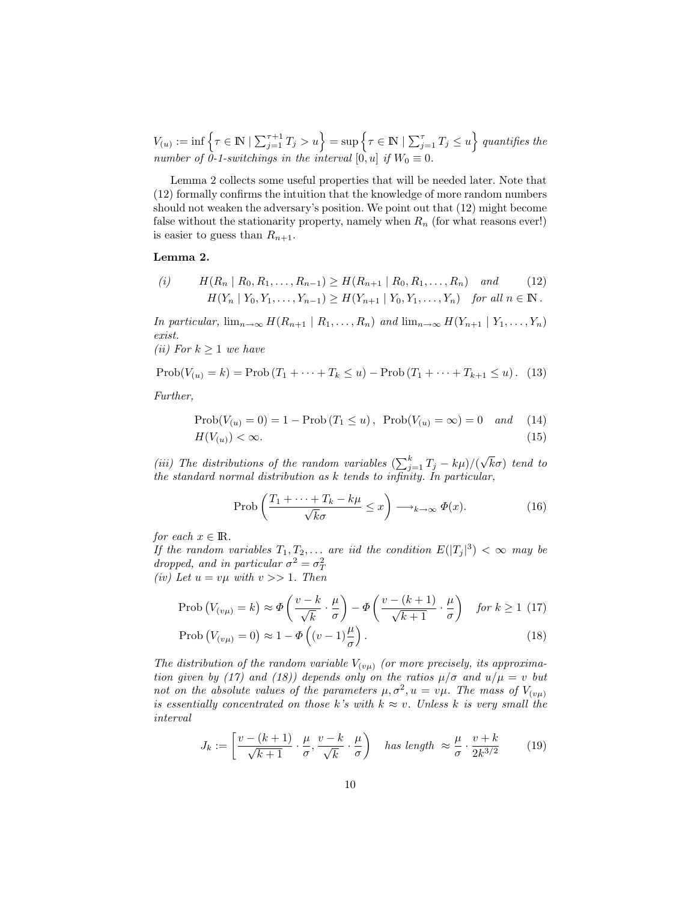$V_{(u)} := \inf \left\{ \tau \in \mathbb{N} \mid \sum_{j=1}^{\tau+1} T_j > u \right\} = \sup \left\{ \tau \in \mathbb{N} \mid \sum_{j=1}^{\tau} T_j \leq u \right\}$  quantifies the number of 0-1-switchings in the interval [0, u] if  $W_0 \equiv 0$ .

Lemma 2 collects some useful properties that will be needed later. Note that (12) formally confirms the intuition that the knowledge of more random numbers should not weaken the adversary's position. We point out that (12) might become false without the stationarity property, namely when  $R_n$  (for what reasons ever!) is easier to guess than  $R_{n+1}$ .

#### Lemma 2.

(i) 
$$
H(R_n | R_0, R_1, ..., R_{n-1}) \ge H(R_{n+1} | R_0, R_1, ..., R_n)
$$
 and (12)  
 $H(Y_n | Y_0, Y_1, ..., Y_{n-1}) \ge H(Y_{n+1} | Y_0, Y_1, ..., Y_n)$  for all  $n \in \mathbb{N}$ .

In particular,  $\lim_{n\to\infty} H(R_{n+1} | R_1,\ldots,R_n)$  and  $\lim_{n\to\infty} H(Y_{n+1} | Y_1,\ldots,Y_n)$ exist.

(ii) For 
$$
k \geq 1
$$
 we have

$$
\text{Prob}(V_{(u)} = k) = \text{Prob}(T_1 + \dots + T_k \le u) - \text{Prob}(T_1 + \dots + T_{k+1} \le u). \tag{13}
$$

Further,

$$
Prob(V_{(u)} = 0) = 1 - Prob(T_1 \le u), Prob(V_{(u)} = \infty) = 0 \text{ and } (14)
$$
  
H(V\_{(u)}) < \infty. (15)

(iii) The distributions of the random variables  $(\sum_{j=1}^{k} T_j - k\mu)/(\sum_{j=1}^{k} T_j - k\mu)$ √  $k\sigma$ ) tend to the standard normal distribution as k tends to infinity. In particular,

$$
\text{Prob}\left(\frac{T_1 + \dots + T_k - k\mu}{\sqrt{k}\sigma} \le x\right) \longrightarrow_{k \to \infty} \Phi(x). \tag{16}
$$

for each  $x \in \mathbb{R}$ .

If the random variables  $T_1, T_2, \ldots$  are iid the condition  $E(|T_j|^3) < \infty$  may be dropped, and in particular  $\sigma^2 = \sigma_T^2$ (iv) Let  $u = v\mu$  with  $v >> 1$ . Then

$$
\text{Prob}\left(V_{(v\mu)} = k\right) \approx \Phi\left(\frac{v - k}{\sqrt{k}} \cdot \frac{\mu}{\sigma}\right) - \Phi\left(\frac{v - (k+1)}{\sqrt{k+1}} \cdot \frac{\mu}{\sigma}\right) \quad \text{for } k \ge 1 \tag{17}
$$

$$
\text{Prob}\left(V_{(v\mu)}=0\right) \approx 1 - \Phi\left((v-1)\frac{\mu}{\sigma}\right). \tag{18}
$$

The distribution of the random variable  $V_{(\nu\mu)}$  (or more precisely, its approximation given by (17) and (18)) depends only on the ratios  $\mu/\sigma$  and  $u/\mu = v$  but not on the absolute values of the parameters  $\mu, \sigma^2, u = v\mu$ . The mass of  $V_{(v\mu)}$ is essentially concentrated on those k's with  $k \approx v$ . Unless k is very small the interval

$$
J_k := \left[ \frac{v - (k+1)}{\sqrt{k+1}} \cdot \frac{\mu}{\sigma}, \frac{v - k}{\sqrt{k}} \cdot \frac{\mu}{\sigma} \right] \quad \text{has length } \approx \frac{\mu}{\sigma} \cdot \frac{v + k}{2k^{3/2}} \tag{19}
$$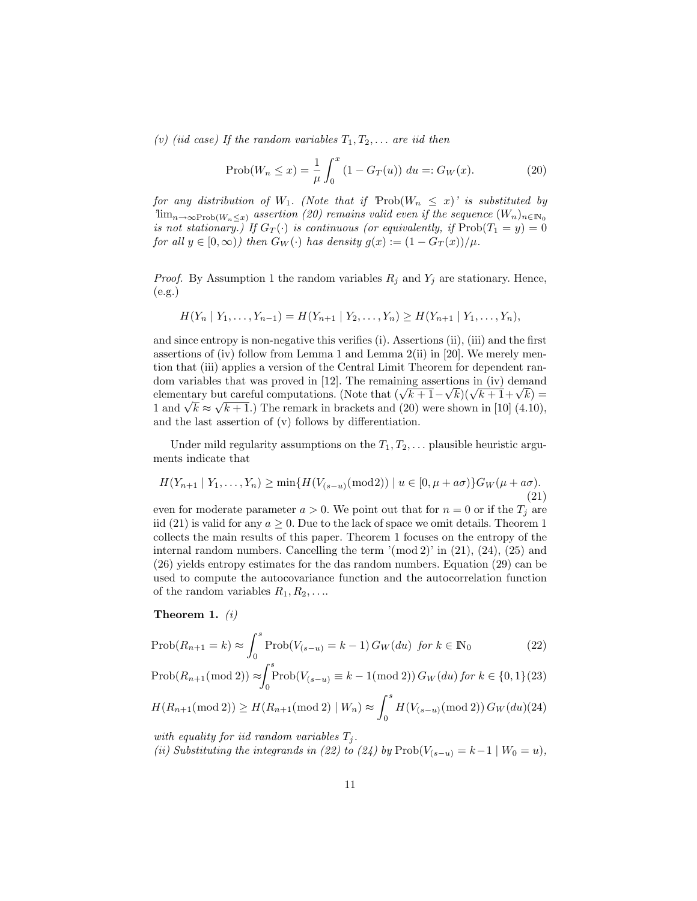(v) (iid case) If the random variables  $T_1, T_2, \ldots$  are iid then

$$
\text{Prob}(W_n \le x) = \frac{1}{\mu} \int_0^x (1 - G_T(u)) \ du =: G_W(x). \tag{20}
$$

for any distribution of  $W_1$ . (Note that if  $\text{Prob}(W_n \leq x)$ ' is substituted by  $\lim_{n\to\infty}$ Prob $(W_n\leq x)$  assertion (20) remains valid even if the sequence  $(W_n)_{n\in\mathbb{N}_0}$ is not stationary.) If  $G_T(\cdot)$  is continuous (or equivalently, if  $\text{Prob}(T_1 = y) = 0$ for all  $y \in [0, \infty)$ ) then  $G_W(\cdot)$  has density  $g(x) := (1 - G_T(x))/\mu$ .

*Proof.* By Assumption 1 the random variables  $R_j$  and  $Y_j$  are stationary. Hence, (e.g.)

$$
H(Y_n | Y_1, \ldots, Y_{n-1}) = H(Y_{n+1} | Y_2, \ldots, Y_n) \ge H(Y_{n+1} | Y_1, \ldots, Y_n),
$$

and since entropy is non-negative this verifies (i). Assertions (ii), (iii) and the first assertions of (iv) follow from Lemma 1 and Lemma 2(ii) in [20]. We merely mention that (iii) applies a version of the Central Limit Theorem for dependent random variables that was proved in [12]. The remaining assertions in  $(iv)$  demand dom variables that was proved in [12]. The remaining assertions in (iv) demand<br>elementary but careful computations. (Note that  $(\sqrt{k+1}-\sqrt{k})(\sqrt{k+1}+\sqrt{k})$ elementary but careful computations. (Note that  $(\sqrt{\kappa} + 1 - \sqrt{\kappa})(\sqrt{\kappa} + 1 + \sqrt{\kappa}) = 1$  and  $\sqrt{k} \approx \sqrt{k+1}$ .) The remark in brackets and (20) were shown in [10] (4.10), and the last assertion of (v) follows by differentiation.

Under mild regularity assumptions on the  $T_1, T_2, \ldots$  plausible heuristic arguments indicate that

$$
H(Y_{n+1} | Y_1, \dots, Y_n) \ge \min\{H(V_{(s-u)}(\text{mod}2)) | u \in [0, \mu + a\sigma)\} G_W(\mu + a\sigma).
$$
\n(21)

even for moderate parameter  $a > 0$ . We point out that for  $n = 0$  or if the  $T_j$  are iid (21) is valid for any  $a \geq 0$ . Due to the lack of space we omit details. Theorem 1 collects the main results of this paper. Theorem 1 focuses on the entropy of the internal random numbers. Cancelling the term  $\Gamma$ (mod 2)' in (21), (24), (25) and (26) yields entropy estimates for the das random numbers. Equation (29) can be used to compute the autocovariance function and the autocorrelation function of the random variables  $R_1, R_2, \ldots$ 

#### Theorem 1.  $(i)$

$$
\text{Prob}(R_{n+1} = k) \approx \int_0^s \text{Prob}(V_{(s-u)} = k-1) G_W(du) \text{ for } k \in \mathbb{N}_0
$$
 (22)

$$
\text{Prob}(R_{n+1}(\text{mod }2)) \approx \int_0^s \text{Prob}(V_{(s-u)} \equiv k - 1(\text{mod }2)) G_W(du) \text{ for } k \in \{0, 1\} (23)
$$
  

$$
H(R_{n+1}(\text{mod }2)) \ge H(R_{n+1}(\text{mod }2) \mid W_n) \approx \int_0^s H(V_{(s-u)}(\text{mod }2)) G_W(du) (24)
$$

with equality for iid random variables  $T_j$ . (ii) Substituting the integrands in (22) to (24) by  $\text{Prob}(V_{(s-u)} = k-1 \mid W_0 = u)$ ,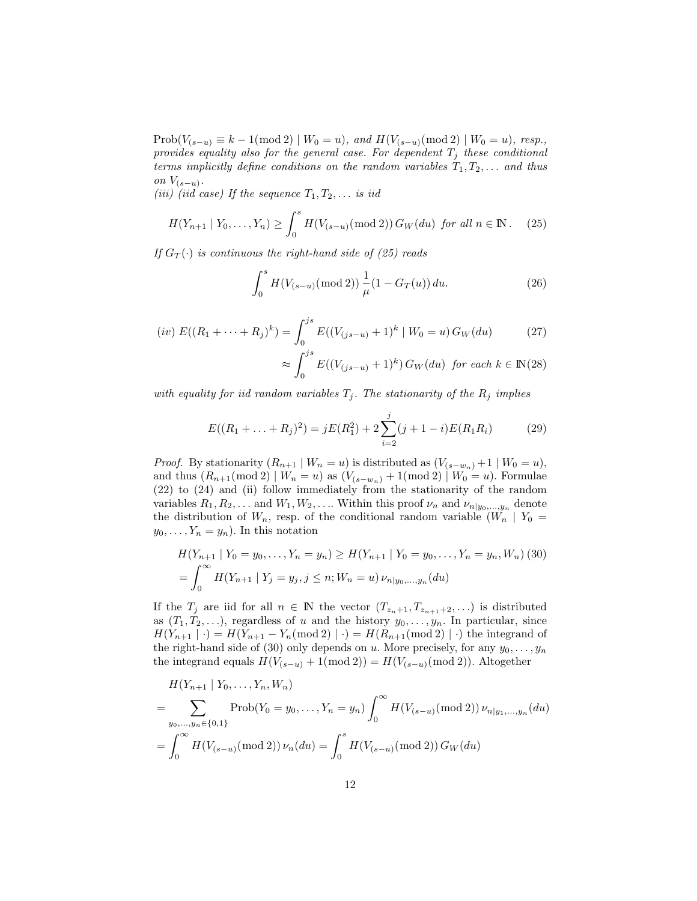$Prob(V_{(s-u)} \equiv k-1 \pmod{2} \mid W_0 = u)$ , and  $H(V_{(s-u)} \pmod{2} \mid W_0 = u)$ , resp., provides equality also for the general case. For dependent  $T_j$  these conditional terms implicitly define conditions on the random variables  $T_1, T_2, \ldots$  and thus on  $V_{(s-u)}$ .

(iii) (iid case) If the sequence  $T_1, T_2, \ldots$  is iid

$$
H(Y_{n+1} | Y_0, ..., Y_n) \ge \int_0^s H(V_{(s-u)}(\text{mod } 2)) G_W(du) \text{ for all } n \in \mathbb{N}. \tag{25}
$$

If  $G_T(\cdot)$  is continuous the right-hand side of (25) reads

$$
\int_0^s H(V_{(s-u)}(\text{mod } 2)) \frac{1}{\mu} (1 - G_T(u)) du.
$$
 (26)

$$
(iv) E((R_1 + \dots + R_j)^k) = \int_0^{js} E((V_{(js-u)} + 1)^k | W_0 = u) G_W(du)
$$
 (27)

$$
\approx \int_0^{js} E((V_{(js-u)} + 1)^k) G_W(du) \text{ for each } k \in \mathbb{N} (28)
$$

with equality for iid random variables  $T_j$ . The stationarity of the  $R_j$  implies

$$
E((R_1 + \ldots + R_j)^2) = jE(R_1^2) + 2\sum_{i=2}^j (j+1-i)E(R_1R_i)
$$
 (29)

*Proof.* By stationarity  $(R_{n+1} | W_n = u)$  is distributed as  $(V_{(s-w_n)} + 1 | W_0 = u)$ , and thus  $(R_{n+1} \text{ (mod 2)} | W_n = u)$  as  $(V_{(s-w_n)} + 1 \text{ (mod 2)} | W_0 = u)$ . Formulae (22) to (24) and (ii) follow immediately from the stationarity of the random variables  $R_1, R_2, \ldots$  and  $W_1, W_2, \ldots$  Within this proof  $\nu_n$  and  $\nu_{n|y_0,\ldots,y_n}$  denote the distribution of  $W_n$ , resp. of the conditional random variable  $(W_n \mid Y_0 =$  $y_0, \ldots, Y_n = y_n$ . In this notation

$$
H(Y_{n+1} | Y_0 = y_0, ..., Y_n = y_n) \ge H(Y_{n+1} | Y_0 = y_0, ..., Y_n = y_n, W_n)
$$
 (30)  
=  $\int_0^\infty H(Y_{n+1} | Y_j = y_j, j \le n; W_n = u) \nu_{n|y_0,...,y_n}(du)$ 

If the  $T_j$  are iid for all  $n \in \mathbb{N}$  the vector  $(T_{z_n+1}, T_{z_{n+1}+2}, \ldots)$  is distributed as  $(T_1, T_2, \ldots)$ , regardless of u and the history  $y_0, \ldots, y_n$ . In particular, since  $H(Y_{n+1} | \cdot) = H(Y_{n+1} - Y_n \pmod{2} | \cdot) = H(R_{n+1} \pmod{2} | \cdot)$  the integrand of the right-hand side of (30) only depends on u. More precisely, for any  $y_0, \ldots, y_n$ the integrand equals  $H(V_{(s-u)} + 1 \text{ (mod 2)}) = H(V_{(s-u)} \text{ (mod 2)})$ . Altogether

$$
H(Y_{n+1} | Y_0, ..., Y_n, W_n)
$$
  
= 
$$
\sum_{y_0, ..., y_n \in \{0, 1\}} \text{Prob}(Y_0 = y_0, ..., Y_n = y_n) \int_0^\infty H(V_{(s-u)}(\text{mod } 2)) \nu_{n|y_1, ..., y_n}(du)
$$
  
= 
$$
\int_0^\infty H(V_{(s-u)}(\text{mod } 2)) \nu_n(du) = \int_0^s H(V_{(s-u)}(\text{mod } 2)) G_W(du)
$$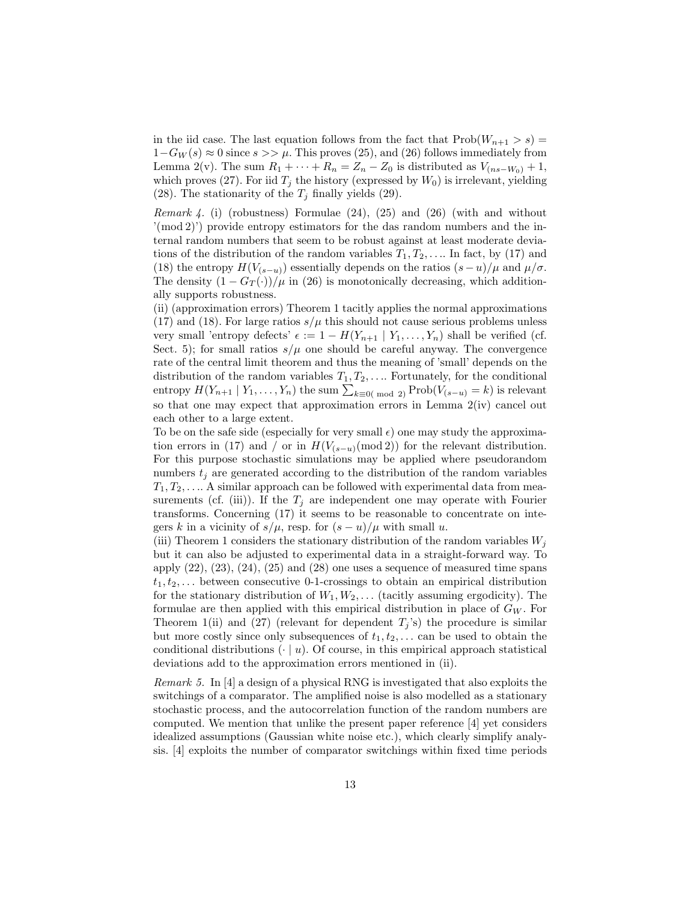in the iid case. The last equation follows from the fact that  $Prob(W_{n+1} > s) =$  $1-G_W(s) \approx 0$  since  $s >> \mu$ . This proves (25), and (26) follows immediately from Lemma 2(v). The sum  $R_1 + \cdots + R_n = Z_n - Z_0$  is distributed as  $V_{(ns-W_0)} + 1$ , which proves (27). For iid  $T_j$  the history (expressed by  $W_0$ ) is irrelevant, yielding (28). The stationarity of the  $T_i$  finally yields (29).

*Remark 4.* (i) (robustness) Formulae  $(24)$ ,  $(25)$  and  $(26)$  (with and without  $\Gamma(\text{mod }2)$ ) provide entropy estimators for the das random numbers and the internal random numbers that seem to be robust against at least moderate deviations of the distribution of the random variables  $T_1, T_2, \ldots$  In fact, by (17) and (18) the entropy  $H(V_{(s-u)})$  essentially depends on the ratios  $(s-u)/\mu$  and  $\mu/\sigma$ . The density  $(1 - G_T(\cdot))/\mu$  in (26) is monotonically decreasing, which additionally supports robustness.

(ii) (approximation errors) Theorem 1 tacitly applies the normal approximations (17) and (18). For large ratios  $s/\mu$  this should not cause serious problems unless very small 'entropy defects'  $\epsilon := 1 - H(Y_{n+1} | Y_1, \ldots, Y_n)$  shall be verified (cf. Sect. 5); for small ratios  $s/\mu$  one should be careful anyway. The convergence rate of the central limit theorem and thus the meaning of 'small' depends on the distribution of the random variables  $T_1, T_2, \ldots$  Fortunately, for the conditional entropy  $H(Y_{n+1} | Y_1, \ldots, Y_n)$  the sum  $\sum_{k=0 \pmod{2}} \text{Prob}(V_{(s-u)} = k)$  is relevant so that one may expect that approximation errors in Lemma  $2(iv)$  cancel out each other to a large extent.

To be on the safe side (especially for very small  $\epsilon$ ) one may study the approximation errors in (17) and / or in  $H(V_{(s-u)}(\text{mod } 2))$  for the relevant distribution. For this purpose stochastic simulations may be applied where pseudorandom numbers  $t_i$  are generated according to the distribution of the random variables  $T_1, T_2, \ldots$  A similar approach can be followed with experimental data from measurements (cf. (iii)). If the  $T_i$  are independent one may operate with Fourier transforms. Concerning (17) it seems to be reasonable to concentrate on integers k in a vicinity of  $s/\mu$ , resp. for  $(s-u)/\mu$  with small u.

(iii) Theorem 1 considers the stationary distribution of the random variables  $W_i$ but it can also be adjusted to experimental data in a straight-forward way. To apply  $(22)$ ,  $(23)$ ,  $(24)$ ,  $(25)$  and  $(28)$  one uses a sequence of measured time spans  $t_1, t_2, \ldots$  between consecutive 0-1-crossings to obtain an empirical distribution for the stationary distribution of  $W_1, W_2, \ldots$  (tacitly assuming ergodicity). The formulae are then applied with this empirical distribution in place of  $G_W$ . For Theorem 1(ii) and (27) (relevant for dependent  $T_j$ 's) the procedure is similar but more costly since only subsequences of  $t_1, t_2, \ldots$  can be used to obtain the conditional distributions  $\left(\cdot \mid u\right)$ . Of course, in this empirical approach statistical deviations add to the approximation errors mentioned in (ii).

Remark 5. In [4] a design of a physical RNG is investigated that also exploits the switchings of a comparator. The amplified noise is also modelled as a stationary stochastic process, and the autocorrelation function of the random numbers are computed. We mention that unlike the present paper reference [4] yet considers idealized assumptions (Gaussian white noise etc.), which clearly simplify analysis. [4] exploits the number of comparator switchings within fixed time periods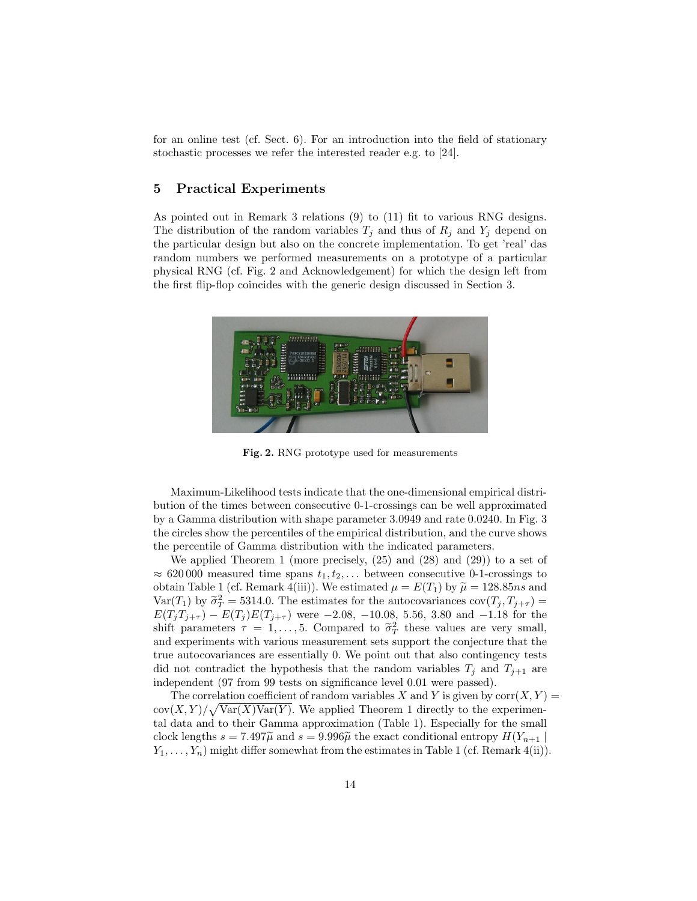for an online test (cf. Sect. 6). For an introduction into the field of stationary stochastic processes we refer the interested reader e.g. to [24].

## 5 Practical Experiments

As pointed out in Remark 3 relations (9) to (11) fit to various RNG designs. The distribution of the random variables  $T_j$  and thus of  $R_j$  and  $Y_j$  depend on the particular design but also on the concrete implementation. To get 'real' das random numbers we performed measurements on a prototype of a particular physical RNG (cf. Fig. 2 and Acknowledgement) for which the design left from the first flip-flop coincides with the generic design discussed in Section 3.



Fig. 2. RNG prototype used for measurements

Maximum-Likelihood tests indicate that the one-dimensional empirical distribution of the times between consecutive 0-1-crossings can be well approximated by a Gamma distribution with shape parameter 3.0949 and rate 0.0240. In Fig. 3 the circles show the percentiles of the empirical distribution, and the curve shows the percentile of Gamma distribution with the indicated parameters.

We applied Theorem 1 (more precisely, (25) and (28) and (29)) to a set of  $\approx 620000$  measured time spans  $t_1, t_2, \ldots$  between consecutive 0-1-crossings to obtain Table 1 (cf. Remark 4(iii)). We estimated  $\mu = E(T_1)$  by  $\tilde{\mu} = 128.85ns$  and  $Var(T_1)$  by  $\tilde{\sigma}_T^2 = 5314.0$ . The estimates for the autocovariances  $cov(T_j, T_{j+\tau}) =$ <br> $E(T, T)$   $E(T, \cdot)$   $E(T, \cdot)$  were  $2.08$  = 10.08, 5.56, 3.80 and 1.18 for the  $E(T_jT_{j+\tau}) - E(T_j)E(T_{j+\tau})$  were -2.08, -10.08, 5.56, 3.80 and -1.18 for the shift parameters  $\tau = 1, \ldots, 5$ . Compared to  $\tilde{\sigma}_T^2$  these values are very small, and experiments with various measurement sets support the conjecture that the true autocovariances are essentially 0. We point out that also contingency tests did not contradict the hypothesis that the random variables  $T_j$  and  $T_{j+1}$  are independent (97 from 99 tests on significance level 0.01 were passed).

The correlation coefficient of random variables X and Y is given by  $corr(X, Y) =$  $cov(X, Y)/\sqrt{Var(X)Var(Y)}$ . We applied Theorem 1 directly to the experimental data and to their Gamma approximation (Table 1). Especially for the small clock lengths  $s = 7.497\tilde{\mu}$  and  $s = 9.996\tilde{\mu}$  the exact conditional entropy  $H(Y_{n+1} |$  $Y_1, \ldots, Y_n$  might differ somewhat from the estimates in Table 1 (cf. Remark 4(ii)).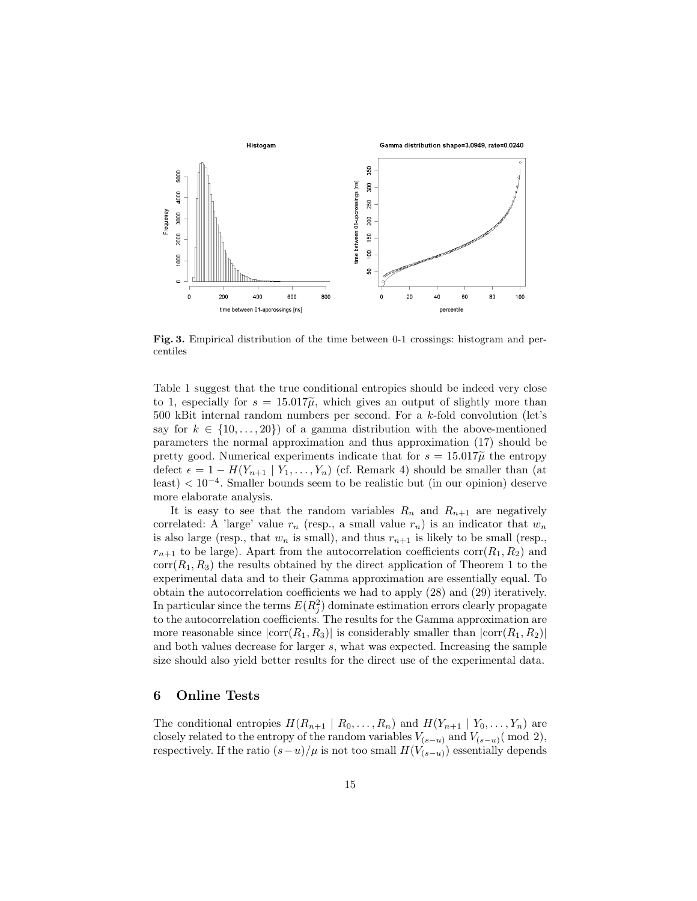

Fig. 3. Empirical distribution of the time between 0-1 crossings: histogram and percentiles

Table 1 suggest that the true conditional entropies should be indeed very close to 1, especially for  $s = 15.017\tilde{\mu}$ , which gives an output of slightly more than 500 kBit internal random numbers per second. For a k-fold convolution (let's say for  $k \in \{10, \ldots, 20\}$  of a gamma distribution with the above-mentioned parameters the normal approximation and thus approximation (17) should be pretty good. Numerical experiments indicate that for  $s = 15.017\tilde{\mu}$  the entropy defect  $\epsilon = 1 - H(Y_{n+1} | Y_1, \ldots, Y_n)$  (cf. Remark 4) should be smaller than (at least) < 10<sup>−</sup><sup>4</sup> . Smaller bounds seem to be realistic but (in our opinion) deserve more elaborate analysis.

It is easy to see that the random variables  $R_n$  and  $R_{n+1}$  are negatively correlated: A 'large' value  $r_n$  (resp., a small value  $r_n$ ) is an indicator that  $w_n$ is also large (resp., that  $w_n$  is small), and thus  $r_{n+1}$  is likely to be small (resp.,  $r_{n+1}$  to be large). Apart from the autocorrelation coefficients corr $(R_1, R_2)$  and  $corr(R_1, R_3)$  the results obtained by the direct application of Theorem 1 to the experimental data and to their Gamma approximation are essentially equal. To obtain the autocorrelation coefficients we had to apply (28) and (29) iteratively. In particular since the terms  $E(R_j^2)$  dominate estimation errors clearly propagate to the autocorrelation coefficients. The results for the Gamma approximation are more reasonable since  $|\text{corr}(R_1, R_3)|$  is considerably smaller than  $|\text{corr}(R_1, R_2)|$ and both values decrease for larger s, what was expected. Increasing the sample size should also yield better results for the direct use of the experimental data.

## 6 Online Tests

The conditional entropies  $H(R_{n+1} | R_0, \ldots, R_n)$  and  $H(Y_{n+1} | Y_0, \ldots, Y_n)$  are closely related to the entropy of the random variables  $V_{(s-u)}$  and  $V_{(s-u)}$  (mod 2), respectively. If the ratio  $(s-u)/\mu$  is not too small  $H(V_{(s-u)})$  essentially depends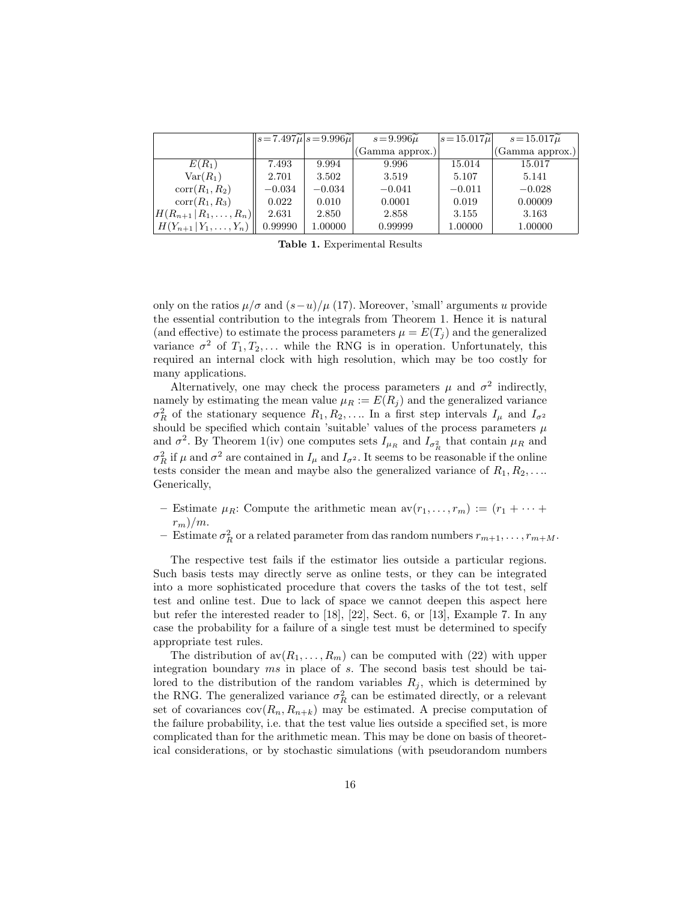|                                 | $\overline{\ s=7.497\tilde{\mu}}\ s=9.996\tilde{\mu}\ $ |          | $s = 9.996\widetilde{\mu}$ | $ s=15.017\widetilde{\mu} $ | $s = 15.017\tilde{\mu}$ |
|---------------------------------|---------------------------------------------------------|----------|----------------------------|-----------------------------|-------------------------|
|                                 |                                                         |          | (Gamma approx.)            |                             | (Gamma approx.)         |
| $E(R_1)$                        | 7.493                                                   | 9.994    | 9.996                      | 15.014                      | 15.017                  |
| $Var(R_1)$                      | 2.701                                                   | 3.502    | 3.519                      | 5.107                       | 5.141                   |
| $corr(R_1, R_2)$                | $-0.034$                                                | $-0.034$ | $-0.041$                   | $-0.011$                    | $-0.028$                |
| $corr(R_1, R_3)$                | 0.022                                                   | 0.010    | 0.0001                     | 0.019                       | 0.00009                 |
| $H(R_{n+1}   R_1, \ldots, R_n)$ | 2.631                                                   | 2.850    | 2.858                      | 3.155                       | 3.163                   |
| $H(Y_{n+1} Y_1,\ldots,Y_n)$     | 0.99990                                                 | 1.00000  | 0.99999                    | 1.00000                     | 1.00000                 |

Table 1. Experimental Results

only on the ratios  $\mu/\sigma$  and  $(s-u)/\mu$  (17). Moreover, 'small' arguments u provide the essential contribution to the integrals from Theorem 1. Hence it is natural (and effective) to estimate the process parameters  $\mu = E(T_i)$  and the generalized variance  $\sigma^2$  of  $T_1, T_2, \ldots$  while the RNG is in operation. Unfortunately, this required an internal clock with high resolution, which may be too costly for many applications.

Alternatively, one may check the process parameters  $\mu$  and  $\sigma^2$  indirectly, namely by estimating the mean value  $\mu_R := E(R_i)$  and the generalized variance  $\sigma_R^2$  of the stationary sequence  $R_1, R_2, \ldots$  In a first step intervals  $I_\mu$  and  $I_{\sigma^2}$ should be specified which contain 'suitable' values of the process parameters  $\mu$ and  $\sigma^2$ . By Theorem 1(iv) one computes sets  $I_{\mu_R}$  and  $I_{\sigma_R^2}$  that contain  $\mu_R$  and  $\sigma_R^2$  if  $\mu$  and  $\sigma^2$  are contained in  $I_\mu$  and  $I_{\sigma^2}$ . It seems to be reasonable if the online tests consider the mean and maybe also the generalized variance of  $R_1, R_2, \ldots$ Generically,

- Estimate  $\mu_R$ : Compute the arithmetic mean  $\mathrm{av}(r_1,\ldots,r_m) := (r_1 + \cdots +$  $(r_m)/m$ .
- Estimate  $\sigma_R^2$  or a related parameter from das random numbers  $r_{m+1}, \ldots, r_{m+M}$ .

The respective test fails if the estimator lies outside a particular regions. Such basis tests may directly serve as online tests, or they can be integrated into a more sophisticated procedure that covers the tasks of the tot test, self test and online test. Due to lack of space we cannot deepen this aspect here but refer the interested reader to [18], [22], Sect. 6, or [13], Example 7. In any case the probability for a failure of a single test must be determined to specify appropriate test rules.

The distribution of  $\mathrm{av}(R_1, \ldots, R_m)$  can be computed with (22) with upper integration boundary ms in place of s. The second basis test should be tailored to the distribution of the random variables  $R_i$ , which is determined by the RNG. The generalized variance  $\sigma_R^2$  can be estimated directly, or a relevant set of covariances  $cov(R_n, R_{n+k})$  may be estimated. A precise computation of the failure probability, i.e. that the test value lies outside a specified set, is more complicated than for the arithmetic mean. This may be done on basis of theoretical considerations, or by stochastic simulations (with pseudorandom numbers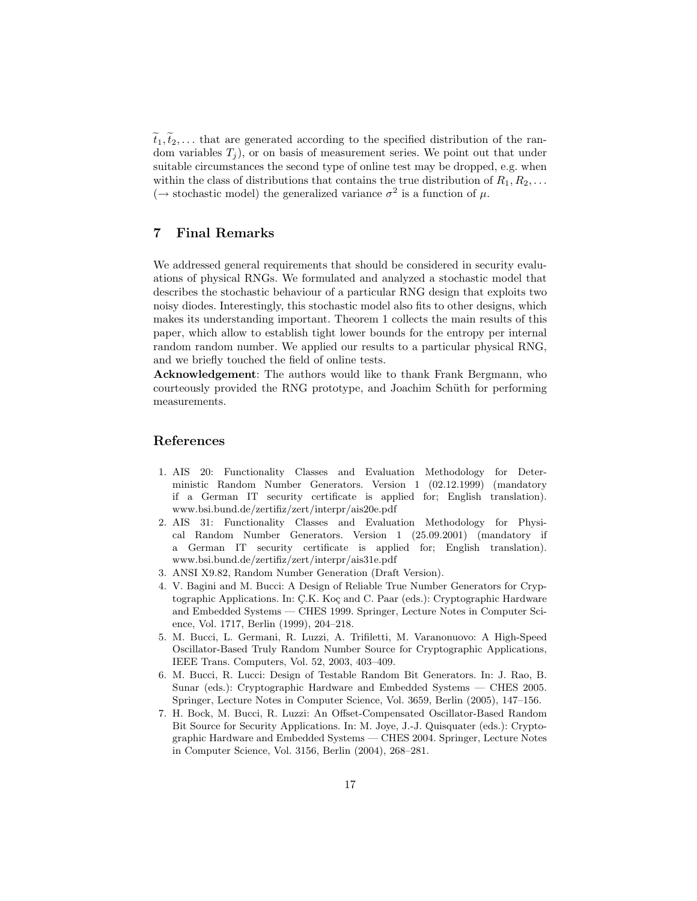$\tilde{t}_1, \tilde{t}_2, \ldots$  that are generated according to the specified distribution of the random variables  $T_j$ ), or on basis of measurement series. We point out that under suitable circumstances the second type of online test may be dropped, e.g. when within the class of distributions that contains the true distribution of  $R_1, R_2, \ldots$  $(\rightarrow$  stochastic model) the generalized variance  $\sigma^2$  is a function of  $\mu$ .

# 7 Final Remarks

We addressed general requirements that should be considered in security evaluations of physical RNGs. We formulated and analyzed a stochastic model that describes the stochastic behaviour of a particular RNG design that exploits two noisy diodes. Interestingly, this stochastic model also fits to other designs, which makes its understanding important. Theorem 1 collects the main results of this paper, which allow to establish tight lower bounds for the entropy per internal random random number. We applied our results to a particular physical RNG, and we briefly touched the field of online tests.

Acknowledgement: The authors would like to thank Frank Bergmann, who courteously provided the RNG prototype, and Joachim Schüth for performing measurements.

# References

- 1. AIS 20: Functionality Classes and Evaluation Methodology for Deterministic Random Number Generators. Version 1 (02.12.1999) (mandatory if a German IT security certificate is applied for; English translation). www.bsi.bund.de/zertifiz/zert/interpr/ais20e.pdf
- 2. AIS 31: Functionality Classes and Evaluation Methodology for Physical Random Number Generators. Version 1 (25.09.2001) (mandatory if a German IT security certificate is applied for; English translation). www.bsi.bund.de/zertifiz/zert/interpr/ais31e.pdf
- 3. ANSI X9.82, Random Number Generation (Draft Version).
- 4. V. Bagini and M. Bucci: A Design of Reliable True Number Generators for Cryptographic Applications. In: Ç.K. Koç and C. Paar (eds.): Cryptographic Hardware and Embedded Systems — CHES 1999. Springer, Lecture Notes in Computer Science, Vol. 1717, Berlin (1999), 204–218.
- 5. M. Bucci, L. Germani, R. Luzzi, A. Trifiletti, M. Varanonuovo: A High-Speed Oscillator-Based Truly Random Number Source for Cryptographic Applications, IEEE Trans. Computers, Vol. 52, 2003, 403–409.
- 6. M. Bucci, R. Lucci: Design of Testable Random Bit Generators. In: J. Rao, B. Sunar (eds.): Cryptographic Hardware and Embedded Systems — CHES 2005. Springer, Lecture Notes in Computer Science, Vol. 3659, Berlin (2005), 147–156.
- 7. H. Bock, M. Bucci, R. Luzzi: An Offset-Compensated Oscillator-Based Random Bit Source for Security Applications. In: M. Joye, J.-J. Quisquater (eds.): Cryptographic Hardware and Embedded Systems — CHES 2004. Springer, Lecture Notes in Computer Science, Vol. 3156, Berlin (2004), 268–281.